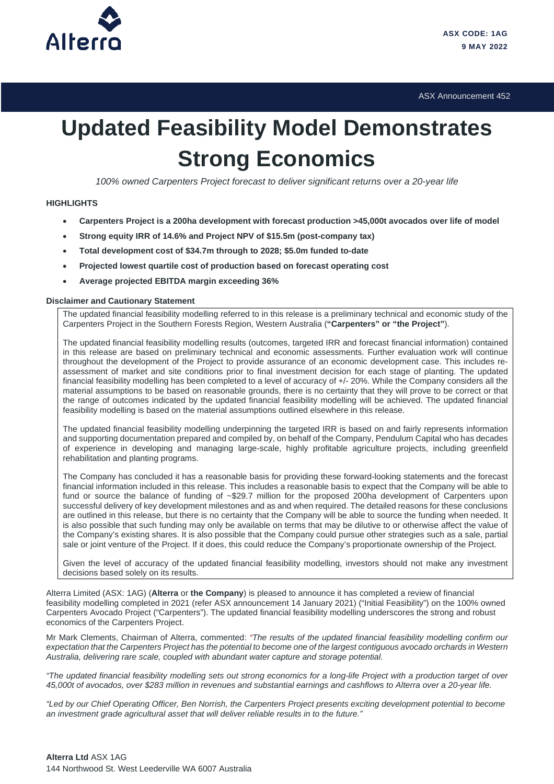

ASX Announcement 452

# **Updated Feasibility Model Demonstrates Strong Economics**

*100% owned Carpenters Project forecast to deliver significant returns over a 20-year life*

# **HIGHLIGHTS**

- **Carpenters Project is a 200ha development with forecast production >45,000t avocados over life of model**
- **Strong equity IRR of 14.6% and Project NPV of \$15.5m (post-company tax)**
- **Total development cost of \$34.7m through to 2028; \$5.0m funded to-date**
- **Projected lowest quartile cost of production based on forecast operating cost**
- **Average projected EBITDA margin exceeding 36%**

#### **Disclaimer and Cautionary Statement**

The updated financial feasibility modelling referred to in this release is a preliminary technical and economic study of the Carpenters Project in the Southern Forests Region, Western Australia (**"Carpenters" or "the Project"**).

The updated financial feasibility modelling results (outcomes, targeted IRR and forecast financial information) contained in this release are based on preliminary technical and economic assessments. Further evaluation work will continue throughout the development of the Project to provide assurance of an economic development case. This includes reassessment of market and site conditions prior to final investment decision for each stage of planting. The updated financial feasibility modelling has been completed to a level of accuracy of +/- 20%. While the Company considers all the material assumptions to be based on reasonable grounds, there is no certainty that they will prove to be correct or that the range of outcomes indicated by the updated financial feasibility modelling will be achieved. The updated financial feasibility modelling is based on the material assumptions outlined elsewhere in this release.

The updated financial feasibility modelling underpinning the targeted IRR is based on and fairly represents information and supporting documentation prepared and compiled by, on behalf of the Company, Pendulum Capital who has decades of experience in developing and managing large-scale, highly profitable agriculture projects, including greenfield rehabilitation and planting programs.

The Company has concluded it has a reasonable basis for providing these forward-looking statements and the forecast financial information included in this release. This includes a reasonable basis to expect that the Company will be able to fund or source the balance of funding of ~\$29.7 million for the proposed 200ha development of Carpenters upon successful delivery of key development milestones and as and when required. The detailed reasons for these conclusions are outlined in this release, but there is no certainty that the Company will be able to source the funding when needed. It is also possible that such funding may only be available on terms that may be dilutive to or otherwise affect the value of the Company's existing shares. It is also possible that the Company could pursue other strategies such as a sale, partial sale or joint venture of the Project. If it does, this could reduce the Company's proportionate ownership of the Project.

Given the level of accuracy of the updated financial feasibility modelling, investors should not make any investment decisions based solely on its results.

Alterra Limited (ASX: 1AG) (**Alterra** or **the Company**) is pleased to announce it has completed a review of financial feasibility modelling completed in 2021 (refer ASX announcement 14 January 2021) ("Initial Feasibility") on the 100% owned Carpenters Avocado Project ("Carpenters"). The updated financial feasibility modelling underscores the strong and robust economics of the Carpenters Project.

Mr Mark Clements, Chairman of Alterra, commented: *"The results of the updated financial feasibility modelling confirm our expectation that the Carpenters Project has the potential to become one of the largest contiguous avocado orchards in Western Australia, delivering rare scale, coupled with abundant water capture and storage potential.*

*"The updated financial feasibility modelling sets out strong economics for a long-life Project with a production target of over 45,000t of avocados, over \$283 million in revenues and substantial earnings and cashflows to Alterra over a 20-year life.* 

*"Led by our Chief Operating Officer, Ben Norrish, the Carpenters Project presents exciting development potential to become an investment grade agricultural asset that will deliver reliable results in to the future."*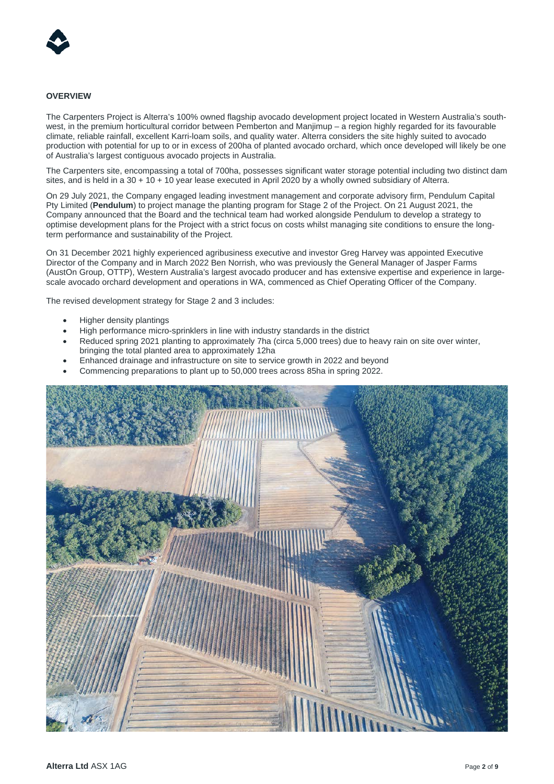

## **OVERVIEW**

The Carpenters Project is Alterra's 100% owned flagship avocado development project located in Western Australia's southwest, in the premium horticultural corridor between Pemberton and Manjimup – a region highly regarded for its favourable climate, reliable rainfall, excellent Karri-loam soils, and quality water. Alterra considers the site highly suited to avocado production with potential for up to or in excess of 200ha of planted avocado orchard, which once developed will likely be one of Australia's largest contiguous avocado projects in Australia.

The Carpenters site, encompassing a total of 700ha, possesses significant water storage potential including two distinct dam sites, and is held in a 30 + 10 + 10 year lease executed in April 2020 by a wholly owned subsidiary of Alterra.

On 29 July 2021, the Company engaged leading investment management and corporate advisory firm, Pendulum Capital Pty Limited (**Pendulum**) to project manage the planting program for Stage 2 of the Project. On 21 August 2021, the Company announced that the Board and the technical team had worked alongside Pendulum to develop a strategy to optimise development plans for the Project with a strict focus on costs whilst managing site conditions to ensure the longterm performance and sustainability of the Project.

On 31 December 2021 highly experienced agribusiness executive and investor Greg Harvey was appointed Executive Director of the Company and in March 2022 Ben Norrish, who was previously the General Manager of Jasper Farms (AustOn Group, OTTP), Western Australia's largest avocado producer and has extensive expertise and experience in largescale avocado orchard development and operations in WA, commenced as Chief Operating Officer of the Company.

The revised development strategy for Stage 2 and 3 includes:

- Higher density plantings
- High performance micro-sprinklers in line with industry standards in the district
- Reduced spring 2021 planting to approximately 7ha (circa 5,000 trees) due to heavy rain on site over winter, bringing the total planted area to approximately 12ha
- Enhanced drainage and infrastructure on site to service growth in 2022 and beyond
- Commencing preparations to plant up to 50,000 trees across 85ha in spring 2022.

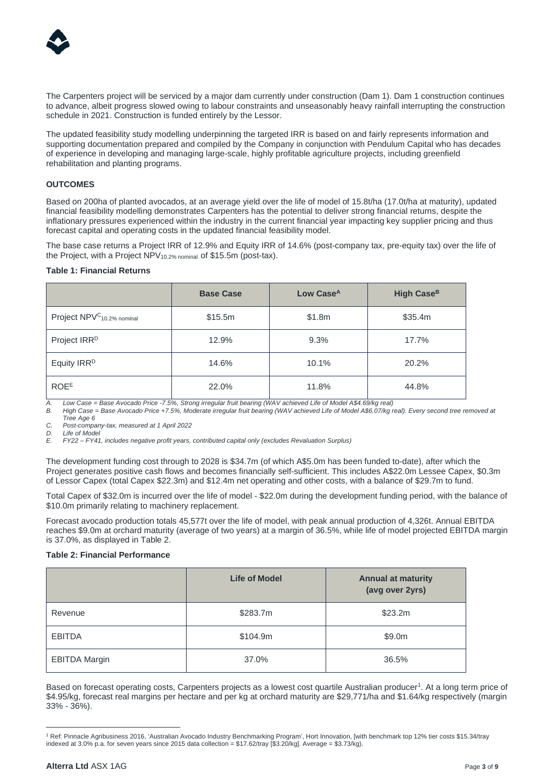

The Carpenters project will be serviced by a major dam currently under construction (Dam 1). Dam 1 construction continues to advance, albeit progress slowed owing to labour constraints and unseasonably heavy rainfall interrupting the construction schedule in 2021. Construction is funded entirely by the Lessor.

The updated feasibility study modelling underpinning the targeted IRR is based on and fairly represents information and supporting documentation prepared and compiled by the Company in conjunction with Pendulum Capital who has decades of experience in developing and managing large-scale, highly profitable agriculture projects, including greenfield rehabilitation and planting programs.

## **OUTCOMES**

Based on 200ha of planted avocados, at an average yield over the life of model of 15.8t/ha (17.0t/ha at maturity), updated financial feasibility modelling demonstrates Carpenters has the potential to deliver strong financial returns, despite the inflationary pressures experienced within the industry in the current financial year impacting key supplier pricing and thus forecast capital and operating costs in the updated financial feasibility model.

The base case returns a Project IRR of 12.9% and Equity IRR of 14.6% (post-company tax, pre-equity tax) over the life of the Project, with a Project NPV10.2% nominal of \$15.5m (post-tax).

#### **Table 1: Financial Returns**

|                                                   | <b>Base Case</b> | Low Case <sup>A</sup> | High Case <sup>B</sup> |  |  |
|---------------------------------------------------|------------------|-----------------------|------------------------|--|--|
| Project NPV <sup>C</sup> <sub>10.2%</sub> nominal | \$15.5m          | \$1.8m                | \$35.4m                |  |  |
| Project IRR <sup>D</sup>                          | 12.9%            | 9.3%                  | 17.7%                  |  |  |
| Equity IRR <sup>D</sup>                           | 14.6%            | 10.1%                 | 20.2%                  |  |  |
| <b>ROEE</b>                                       | 22.0%            | 11.8%                 | 44.8%                  |  |  |

*A. Low Case = Base Avocado Price -7.5%, Strong irregular fruit bearing (WAV achieved Life of Model A\$4.69/kg real)*

*B. High Case = Base Avocado Price +7.5%, Moderate irregular fruit bearing (WAV achieved Life of Model A\$6.07/kg real). Every second tree removed at Tree Age 6*

*C. Post-company-tax, measured at 1 April 2022*

*D. Life of Model E. FY22 – FY41, includes negative profit years, contributed capital only (excludes Revaluation Surplus)* 

The development funding cost through to 2028 is \$34.7m (of which A\$5.0m has been funded to-date), after which the Project generates positive cash flows and becomes financially self-sufficient. This includes A\$22.0m Lessee Capex, \$0.3m of Lessor Capex (total Capex \$22.3m) and \$12.4m net operating and other costs, with a balance of \$29.7m to fund.

Total Capex of \$32.0m is incurred over the life of model - \$22.0m during the development funding period, with the balance of \$10.0m primarily relating to machinery replacement.

Forecast avocado production totals 45,577t over the life of model, with peak annual production of 4,326t. Annual EBITDA reaches \$9.0m at orchard maturity (average of two years) at a margin of 36.5%, while life of model projected EBITDA margin is 37.0%, as displayed in Table 2.

## **Table 2: Financial Performance**

|                      | <b>Life of Model</b> | <b>Annual at maturity</b><br>(avg over 2yrs) |
|----------------------|----------------------|----------------------------------------------|
| Revenue              | \$283.7m             | \$23.2m                                      |
| <b>EBITDA</b>        | \$104.9m             | \$9.0m                                       |
| <b>EBITDA Margin</b> | 37.0%                | 36.5%                                        |

Based on forecast operating costs, Carpenters projects as a lowest cost quartile Australian producer<sup>[1](#page-2-0)</sup>. At a long term price of \$4.95/kg, forecast real margins per hectare and per kg at orchard maturity are \$29,771/ha and \$1.64/kg respectively (margin 33% - 36%).

<span id="page-2-0"></span><sup>1</sup> Ref: Pinnacle Agribusiness 2016, 'Australian Avocado Industry Benchmarking Program', Hort Innovation, [with benchmark top 12% tier costs \$15.34/tray indexed at 3.0% p.a. for seven years since 2015 data collection = \$17.62/tray [\$3.20/kg]. Average = \$3.73/kg).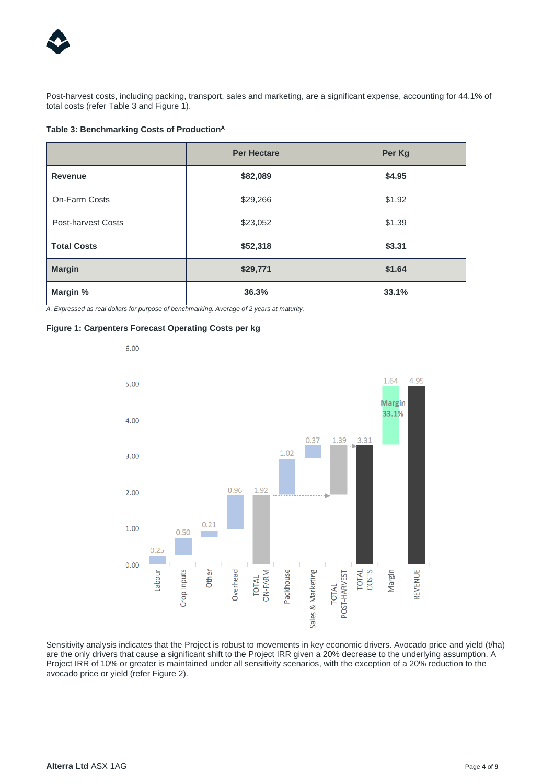

Post-harvest costs, including packing, transport, sales and marketing, are a significant expense, accounting for 44.1% of total costs (refer Table 3 and Figure 1).

# **Table 3: Benchmarking Costs of ProductionA**

|                           | <b>Per Hectare</b> | Per Kg |
|---------------------------|--------------------|--------|
| Revenue                   | \$82,089           | \$4.95 |
| On-Farm Costs             | \$29,266           | \$1.92 |
| <b>Post-harvest Costs</b> | \$23,052           | \$1.39 |
| <b>Total Costs</b>        | \$52,318           | \$3.31 |
| <b>Margin</b>             | \$29,771           | \$1.64 |
| Margin %                  | 36.3%              | 33.1%  |

*A. Expressed as real dollars for purpose of benchmarking. Average of 2 years at maturity.* 

## **Figure 1: Carpenters Forecast Operating Costs per kg**



Sensitivity analysis indicates that the Project is robust to movements in key economic drivers. Avocado price and yield (t/ha) are the only drivers that cause a significant shift to the Project IRR given a 20% decrease to the underlying assumption. A Project IRR of 10% or greater is maintained under all sensitivity scenarios, with the exception of a 20% reduction to the avocado price or yield (refer Figure 2).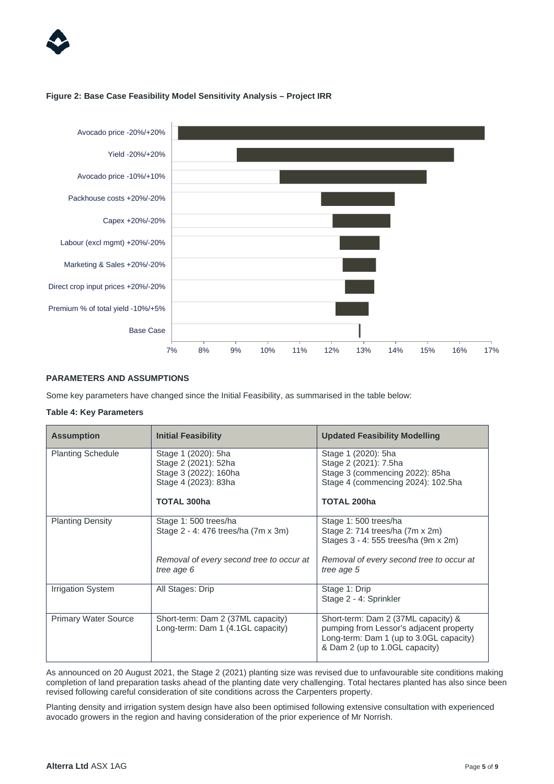

## **Figure 2: Base Case Feasibility Model Sensitivity Analysis – Project IRR**



# **PARAMETERS AND ASSUMPTIONS**

Some key parameters have changed since the Initial Feasibility, as summarised in the table below:

#### **Table 4: Key Parameters**

| <b>Assumption</b>           | <b>Initial Feasibility</b>                                             | <b>Updated Feasibility Modelling</b>                                                                                                                        |
|-----------------------------|------------------------------------------------------------------------|-------------------------------------------------------------------------------------------------------------------------------------------------------------|
| <b>Planting Schedule</b>    | Stage 1 (2020): 5ha<br>Stage 2 (2021): 52ha                            | Stage 1 (2020): 5ha<br>Stage 2 (2021): 7.5ha                                                                                                                |
|                             | Stage 3 (2022): 160ha                                                  | Stage 3 (commencing 2022): 85ha                                                                                                                             |
|                             | Stage 4 (2023): 83ha                                                   | Stage 4 (commencing 2024): 102.5ha                                                                                                                          |
|                             | <b>TOTAL 300ha</b>                                                     | <b>TOTAL 200ha</b>                                                                                                                                          |
| <b>Planting Density</b>     | Stage 1:500 trees/ha                                                   | Stage 1:500 trees/ha                                                                                                                                        |
|                             | Stage 2 - 4: 476 trees/ha (7m x 3m)                                    | Stage 2: 714 trees/ha (7m x 2m)<br>Stages 3 - 4: 555 trees/ha (9m x 2m)                                                                                     |
|                             | Removal of every second tree to occur at<br>tree age 6                 | Removal of every second tree to occur at<br>tree age 5                                                                                                      |
| <b>Irrigation System</b>    | All Stages: Drip                                                       | Stage 1: Drip<br>Stage 2 - 4: Sprinkler                                                                                                                     |
| <b>Primary Water Source</b> | Short-term: Dam 2 (37ML capacity)<br>Long-term: Dam 1 (4.1GL capacity) | Short-term: Dam 2 (37ML capacity) &<br>pumping from Lessor's adjacent property<br>Long-term: Dam 1 (up to 3.0GL capacity)<br>& Dam 2 (up to 1.0GL capacity) |

As announced on 20 August 2021, the Stage 2 (2021) planting size was revised due to unfavourable site conditions making completion of land preparation tasks ahead of the planting date very challenging. Total hectares planted has also since been revised following careful consideration of site conditions across the Carpenters property.

Planting density and irrigation system design have also been optimised following extensive consultation with experienced avocado growers in the region and having consideration of the prior experience of Mr Norrish.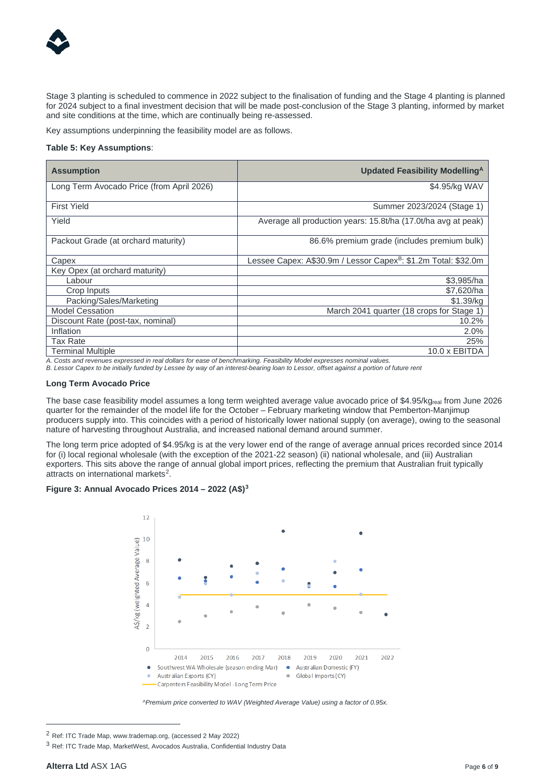

Stage 3 planting is scheduled to commence in 2022 subject to the finalisation of funding and the Stage 4 planting is planned for 2024 subject to a final investment decision that will be made post-conclusion of the Stage 3 planting, informed by market and site conditions at the time, which are continually being re-assessed.

Key assumptions underpinning the feasibility model are as follows.

## **Table 5: Key Assumptions**:

| <b>Assumption</b>                         | Updated Feasibility Modelling <sup>A</sup>                                 |  |  |  |  |
|-------------------------------------------|----------------------------------------------------------------------------|--|--|--|--|
| Long Term Avocado Price (from April 2026) | \$4.95/kg WAV                                                              |  |  |  |  |
| <b>First Yield</b>                        | Summer 2023/2024 (Stage 1)                                                 |  |  |  |  |
| Yield                                     | Average all production years: 15.8t/ha (17.0t/ha avg at peak)              |  |  |  |  |
| Packout Grade (at orchard maturity)       | 86.6% premium grade (includes premium bulk)                                |  |  |  |  |
| Capex                                     | Lessee Capex: A\$30.9m / Lessor Capex <sup>B</sup> : \$1.2m Total: \$32.0m |  |  |  |  |
| Key Opex (at orchard maturity)            |                                                                            |  |  |  |  |
| ∟abour                                    | \$3,985/ha                                                                 |  |  |  |  |
| Crop Inputs                               | \$7,620/ha                                                                 |  |  |  |  |
| Packing/Sales/Marketing                   | \$1.39/ka                                                                  |  |  |  |  |
| <b>Model Cessation</b>                    | March 2041 quarter (18 crops for Stage 1                                   |  |  |  |  |
| Discount Rate (post-tax, nominal)         | 10.2%                                                                      |  |  |  |  |
| Inflation                                 | 2.0%                                                                       |  |  |  |  |
| Tax Rate                                  | 25%                                                                        |  |  |  |  |
| Terminal Multiple                         | 10.0 x EBITDA                                                              |  |  |  |  |

*A. Costs and revenues expressed in real dollars for ease of benchmarking. Feasibility Model expresses nominal values.*

*B. Lessor Capex to be initially funded by Lessee by way of an interest-bearing loan to Lessor, offset against a portion of future rent*

#### **Long Term Avocado Price**

The base case feasibility model assumes a long term weighted average value avocado price of \$4.95/kgreal from June 2026 quarter for the remainder of the model life for the October – February marketing window that Pemberton-Manjimup producers supply into. This coincides with a period of historically lower national supply (on average), owing to the seasonal nature of harvesting throughout Australia, and increased national demand around summer.

The long term price adopted of \$4.95/kg is at the very lower end of the range of average annual prices recorded since 2014 for (i) local regional wholesale (with the exception of the 2021-22 season) (ii) national wholesale, and (iii) Australian exporters. This sits above the range of annual global import prices, reflecting the premium that Australian fruit typically attracts on international markets<sup>2</sup>.

# **Figure 3: Annual Avocado Prices 2014 – 2022 (A\$)[3](#page-5-1)**



*^Premium price converted to WAV (Weighted Average Value) using a factor of 0.95x.*

<span id="page-5-0"></span><sup>2</sup> Ref: ITC Trade Map, www.trademap.org, (accessed 2 May 2022)

<span id="page-5-1"></span><sup>3</sup> Ref: ITC Trade Map, MarketWest, Avocados Australia, Confidential Industry Data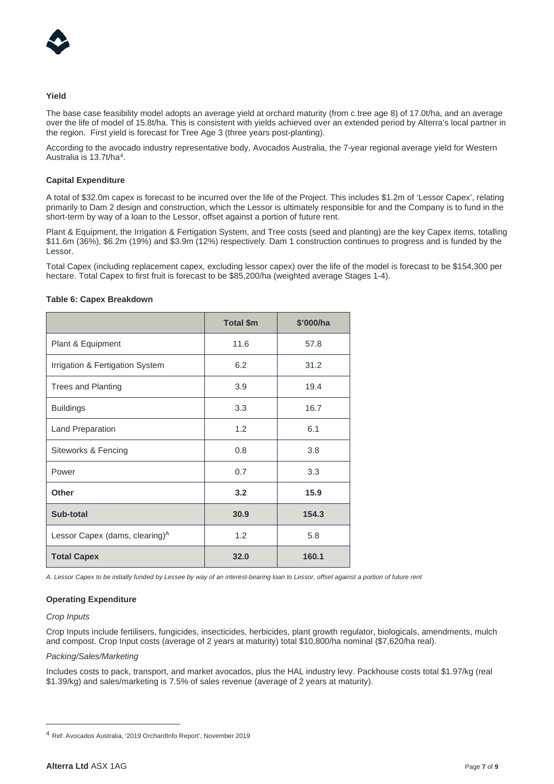

## **Yield**

The base case feasibility model adopts an average yield at orchard maturity (from c.tree age 8) of 17.0t/ha, and an average over the life of model of 15.8t/ha. This is consistent with yields achieved over an extended period by Alterra's local partner in the region. First yield is forecast for Tree Age 3 (three years post-planting).

According to the avocado industry representative body, Avocados Australia, the 7-year regional average yield for Western Australia is 13.7t/ha[4](#page-6-0).

## **Capital Expenditure**

A total of \$32.0m capex is forecast to be incurred over the life of the Project. This includes \$1.2m of 'Lessor Capex', relating primarily to Dam 2 design and construction, which the Lessor is ultimately responsible for and the Company is to fund in the short-term by way of a loan to the Lessor, offset against a portion of future rent.

Plant & Equipment, the Irrigation & Fertigation System, and Tree costs (seed and planting) are the key Capex items, totalling \$11.6m (36%), \$6.2m (19%) and \$3.9m (12%) respectively. Dam 1 construction continues to progress and is funded by the Lessor.

Total Capex (including replacement capex, excluding lessor capex) over the life of the model is forecast to be \$154,300 per hectare. Total Capex to first fruit is forecast to be \$85,200/ha (weighted average Stages 1-4).

|                                            | <b>Total \$m</b> | \$'000/ha |  |
|--------------------------------------------|------------------|-----------|--|
| Plant & Equipment                          | 11.6             | 57.8      |  |
| Irrigation & Fertigation System            | 6.2              | 31.2      |  |
| <b>Trees and Planting</b>                  | 3.9              | 19.4      |  |
| <b>Buildings</b>                           | 3.3              | 16.7      |  |
| Land Preparation                           | 1.2              | 6.1       |  |
| Siteworks & Fencing                        | 0.8              | 3.8       |  |
| Power                                      | 0.7              | 3.3       |  |
| <b>Other</b>                               | 3.2              | 15.9      |  |
| Sub-total                                  | 30.9             | 154.3     |  |
| Lessor Capex (dams, clearing) <sup>A</sup> | 1.2              | 5.8       |  |
| <b>Total Capex</b>                         | 32.0             | 160.1     |  |

#### **Table 6: Capex Breakdown**

*A. Lessor Capex to be initially funded by Lessee by way of an interest-bearing loan to Lessor, offset against a portion of future rent*

## **Operating Expenditure**

#### *Crop Inputs*

Crop Inputs include fertilisers, fungicides, insecticides, herbicides, plant growth regulator, biologicals, amendments, mulch and compost. Crop Input costs (average of 2 years at maturity) total \$10,800/ha nominal (\$7,620/ha real).

#### *Packing/Sales/Marketing*

Includes costs to pack, transport, and market avocados, plus the HAL industry levy. Packhouse costs total \$1.97/kg (real \$1.39/kg) and sales/marketing is 7.5% of sales revenue (average of 2 years at maturity).

<span id="page-6-0"></span><sup>4</sup> Ref: Avocados Australia, '2019 OrchardInfo Report', November 2019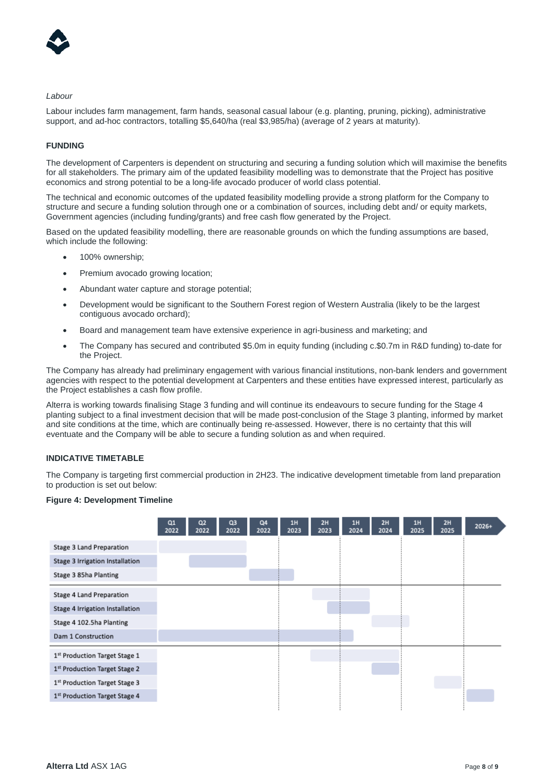

#### *Labour*

Labour includes farm management, farm hands, seasonal casual labour (e.g. planting, pruning, picking), administrative support, and ad-hoc contractors, totalling \$5,640/ha (real \$3,985/ha) (average of 2 years at maturity).

## **FUNDING**

The development of Carpenters is dependent on structuring and securing a funding solution which will maximise the benefits for all stakeholders. The primary aim of the updated feasibility modelling was to demonstrate that the Project has positive economics and strong potential to be a long-life avocado producer of world class potential.

The technical and economic outcomes of the updated feasibility modelling provide a strong platform for the Company to structure and secure a funding solution through one or a combination of sources, including debt and/ or equity markets, Government agencies (including funding/grants) and free cash flow generated by the Project.

Based on the updated feasibility modelling, there are reasonable grounds on which the funding assumptions are based, which include the following:

- 100% ownership;
- Premium avocado growing location;
- Abundant water capture and storage potential;
- Development would be significant to the Southern Forest region of Western Australia (likely to be the largest contiguous avocado orchard);
- Board and management team have extensive experience in agri-business and marketing; and
- The Company has secured and contributed \$5.0m in equity funding (including c.\$0.7m in R&D funding) to-date for the Project.

The Company has already had preliminary engagement with various financial institutions, non-bank lenders and government agencies with respect to the potential development at Carpenters and these entities have expressed interest, particularly as the Project establishes a cash flow profile.

Alterra is working towards finalising Stage 3 funding and will continue its endeavours to secure funding for the Stage 4 planting subject to a final investment decision that will be made post-conclusion of the Stage 3 planting, informed by market and site conditions at the time, which are continually being re-assessed. However, there is no certainty that this will eventuate and the Company will be able to secure a funding solution as and when required.

## **INDICATIVE TIMETABLE**

The Company is targeting first commercial production in 2H23. The indicative development timetable from land preparation to production is set out below:

#### **Figure 4: Development Timeline**

|                                           | Q1<br>2022 | Q <sub>2</sub><br>2022 | Q <sub>3</sub><br>2022 | Q4<br>2022 | <b>1H</b><br>2023 | 2H<br>2023 | 1H<br>2024 | 2H<br>2024 | 1H<br>2025 | 2H<br>2025 | 2026+ |
|-------------------------------------------|------------|------------------------|------------------------|------------|-------------------|------------|------------|------------|------------|------------|-------|
| <b>Stage 3 Land Preparation</b>           |            |                        |                        |            |                   |            |            |            |            |            |       |
| Stage 3 Irrigation Installation           |            |                        |                        |            |                   |            |            |            |            |            |       |
| Stage 3 85ha Planting                     |            |                        |                        |            |                   |            |            |            |            |            |       |
| Stage 4 Land Preparation                  |            |                        |                        |            |                   |            |            |            |            |            |       |
| Stage 4 Irrigation Installation           |            |                        |                        |            |                   |            |            |            |            |            |       |
| Stage 4 102.5ha Planting                  |            |                        |                        |            |                   |            |            |            |            |            |       |
| Dam 1 Construction                        |            |                        |                        |            |                   |            |            |            |            |            |       |
| 1st Production Target Stage 1             |            |                        |                        |            |                   |            |            |            |            |            |       |
| 1st Production Target Stage 2             |            |                        |                        |            |                   |            |            |            |            |            |       |
| 1 <sup>st</sup> Production Target Stage 3 |            |                        |                        |            |                   |            |            |            |            |            |       |
| 1st Production Target Stage 4             |            |                        |                        |            |                   |            |            |            |            |            |       |